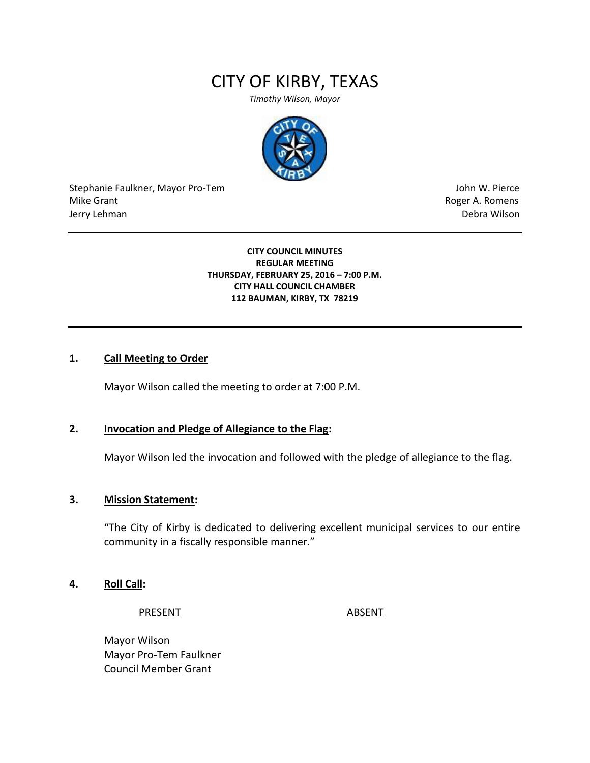# CITY OF KIRBY, TEXAS

*Timothy Wilson, Mayor*



Stephanie Faulkner, Mayor Pro-Tem John W. Pierce Mike Grant **Mike Grant** Roger A. Romens **Contract A. Romens Roger A. Romens** Jerry Lehman Debra Wilson

#### **CITY COUNCIL MINUTES REGULAR MEETING THURSDAY, FEBRUARY 25, 2016 – 7:00 P.M. CITY HALL COUNCIL CHAMBER 112 BAUMAN, KIRBY, TX 78219**

## **1. Call Meeting to Order**

Mayor Wilson called the meeting to order at 7:00 P.M.

### **2. Invocation and Pledge of Allegiance to the Flag:**

Mayor Wilson led the invocation and followed with the pledge of allegiance to the flag.

#### **3. Mission Statement:**

"The City of Kirby is dedicated to delivering excellent municipal services to our entire community in a fiscally responsible manner."

#### **4. Roll Call:**

PRESENT ABSENT

Mayor Wilson Mayor Pro-Tem Faulkner Council Member Grant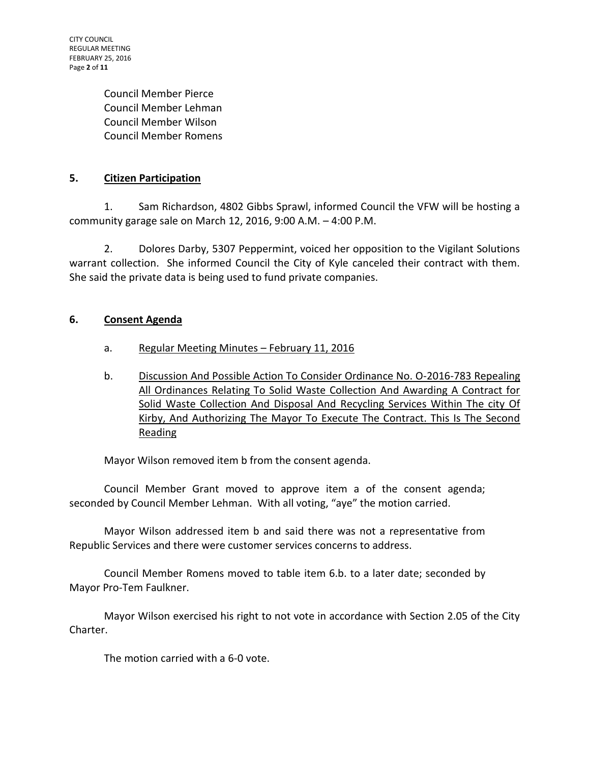CITY COUNCIL REGULAR MEETING FEBRUARY 25, 2016 Page **2** of **11**

> Council Member Pierce Council Member Lehman Council Member Wilson Council Member Romens

## **5. Citizen Participation**

1. Sam Richardson, 4802 Gibbs Sprawl, informed Council the VFW will be hosting a community garage sale on March 12, 2016, 9:00 A.M. – 4:00 P.M.

2. Dolores Darby, 5307 Peppermint, voiced her opposition to the Vigilant Solutions warrant collection. She informed Council the City of Kyle canceled their contract with them. She said the private data is being used to fund private companies.

## **6. Consent Agenda**

- a. Regular Meeting Minutes February 11, 2016
- b. Discussion And Possible Action To Consider Ordinance No. O-2016-783 Repealing All Ordinances Relating To Solid Waste Collection And Awarding A Contract for Solid Waste Collection And Disposal And Recycling Services Within The city Of Kirby, And Authorizing The Mayor To Execute The Contract. This Is The Second Reading

Mayor Wilson removed item b from the consent agenda.

Council Member Grant moved to approve item a of the consent agenda; seconded by Council Member Lehman. With all voting, "aye" the motion carried.

Mayor Wilson addressed item b and said there was not a representative from Republic Services and there were customer services concerns to address.

Council Member Romens moved to table item 6.b. to a later date; seconded by Mayor Pro-Tem Faulkner.

Mayor Wilson exercised his right to not vote in accordance with Section 2.05 of the City Charter.

The motion carried with a 6-0 vote.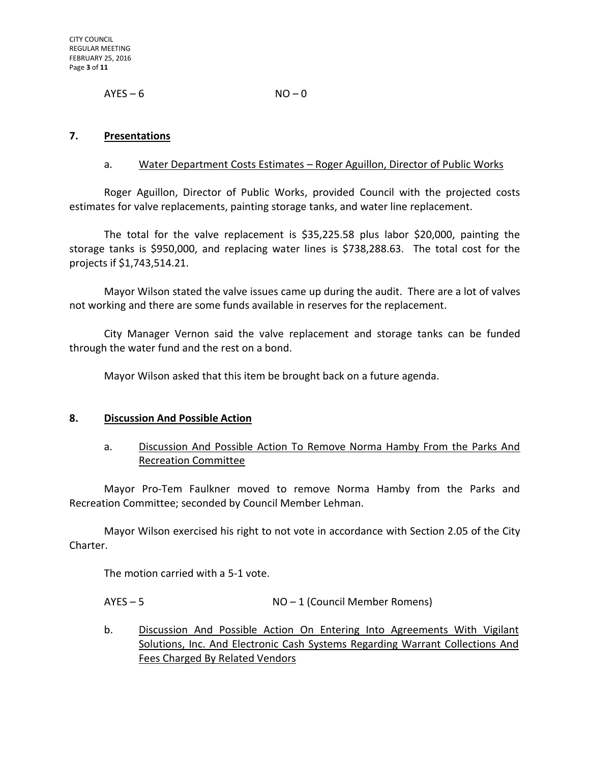$AYES - 6$   $NO - 0$ 

#### **7. Presentations**

#### a. Water Department Costs Estimates – Roger Aguillon, Director of Public Works

Roger Aguillon, Director of Public Works, provided Council with the projected costs estimates for valve replacements, painting storage tanks, and water line replacement.

The total for the valve replacement is \$35,225.58 plus labor \$20,000, painting the storage tanks is \$950,000, and replacing water lines is \$738,288.63. The total cost for the projects if \$1,743,514.21.

Mayor Wilson stated the valve issues came up during the audit. There are a lot of valves not working and there are some funds available in reserves for the replacement.

City Manager Vernon said the valve replacement and storage tanks can be funded through the water fund and the rest on a bond.

Mayor Wilson asked that this item be brought back on a future agenda.

#### **8. Discussion And Possible Action**

## a. Discussion And Possible Action To Remove Norma Hamby From the Parks And Recreation Committee

Mayor Pro-Tem Faulkner moved to remove Norma Hamby from the Parks and Recreation Committee; seconded by Council Member Lehman.

Mayor Wilson exercised his right to not vote in accordance with Section 2.05 of the City Charter.

The motion carried with a 5-1 vote.

AYES – 5 NO – 1 (Council Member Romens)

b. Discussion And Possible Action On Entering Into Agreements With Vigilant Solutions, Inc. And Electronic Cash Systems Regarding Warrant Collections And Fees Charged By Related Vendors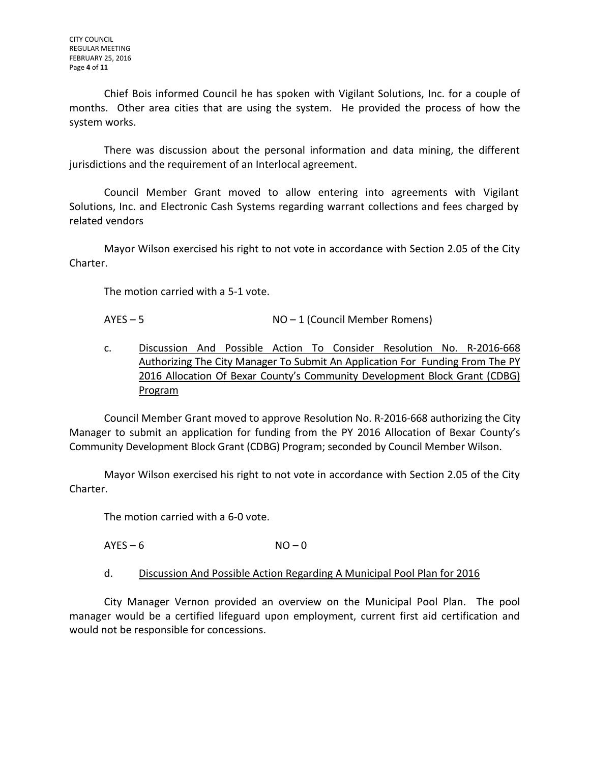Chief Bois informed Council he has spoken with Vigilant Solutions, Inc. for a couple of months. Other area cities that are using the system. He provided the process of how the system works.

There was discussion about the personal information and data mining, the different jurisdictions and the requirement of an Interlocal agreement.

Council Member Grant moved to allow entering into agreements with Vigilant Solutions, Inc. and Electronic Cash Systems regarding warrant collections and fees charged by related vendors

Mayor Wilson exercised his right to not vote in accordance with Section 2.05 of the City Charter.

The motion carried with a 5-1 vote.

AYES – 5 NO – 1 (Council Member Romens)

c. Discussion And Possible Action To Consider Resolution No. R-2016-668 Authorizing The City Manager To Submit An Application For Funding From The PY 2016 Allocation Of Bexar County's Community Development Block Grant (CDBG) Program

Council Member Grant moved to approve Resolution No. R-2016-668 authorizing the City Manager to submit an application for funding from the PY 2016 Allocation of Bexar County's Community Development Block Grant (CDBG) Program; seconded by Council Member Wilson.

Mayor Wilson exercised his right to not vote in accordance with Section 2.05 of the City Charter.

The motion carried with a 6-0 vote.

 $AYES - 6$   $NO - 0$ 

d. Discussion And Possible Action Regarding A Municipal Pool Plan for 2016

City Manager Vernon provided an overview on the Municipal Pool Plan. The pool manager would be a certified lifeguard upon employment, current first aid certification and would not be responsible for concessions.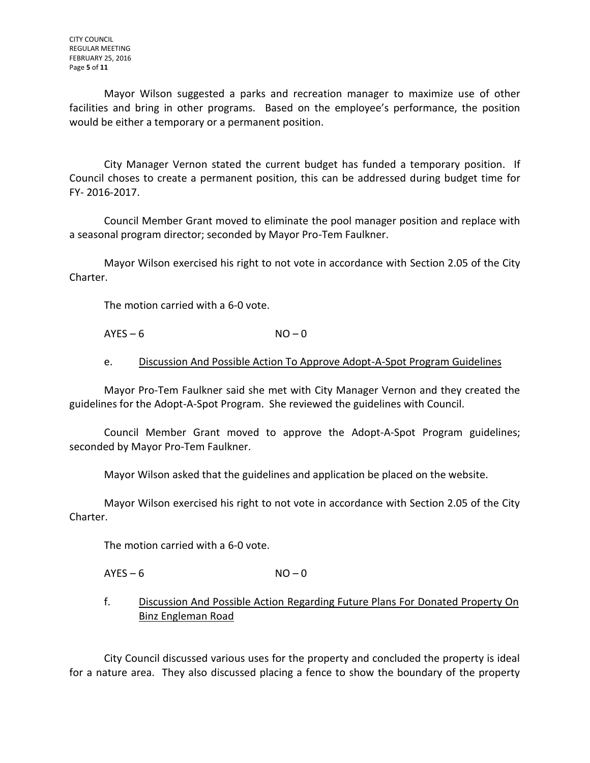Mayor Wilson suggested a parks and recreation manager to maximize use of other facilities and bring in other programs. Based on the employee's performance, the position would be either a temporary or a permanent position.

City Manager Vernon stated the current budget has funded a temporary position. If Council choses to create a permanent position, this can be addressed during budget time for FY- 2016-2017.

Council Member Grant moved to eliminate the pool manager position and replace with a seasonal program director; seconded by Mayor Pro-Tem Faulkner.

Mayor Wilson exercised his right to not vote in accordance with Section 2.05 of the City Charter.

The motion carried with a 6-0 vote.

 $AYES - 6$   $NO - 0$ 

e. Discussion And Possible Action To Approve Adopt-A-Spot Program Guidelines

Mayor Pro-Tem Faulkner said she met with City Manager Vernon and they created the guidelines for the Adopt-A-Spot Program. She reviewed the guidelines with Council.

Council Member Grant moved to approve the Adopt-A-Spot Program guidelines; seconded by Mayor Pro-Tem Faulkner.

Mayor Wilson asked that the guidelines and application be placed on the website.

Mayor Wilson exercised his right to not vote in accordance with Section 2.05 of the City Charter.

The motion carried with a 6-0 vote.

 $AYES - 6$   $NO - 0$ 

f. Discussion And Possible Action Regarding Future Plans For Donated Property On Binz Engleman Road

City Council discussed various uses for the property and concluded the property is ideal for a nature area. They also discussed placing a fence to show the boundary of the property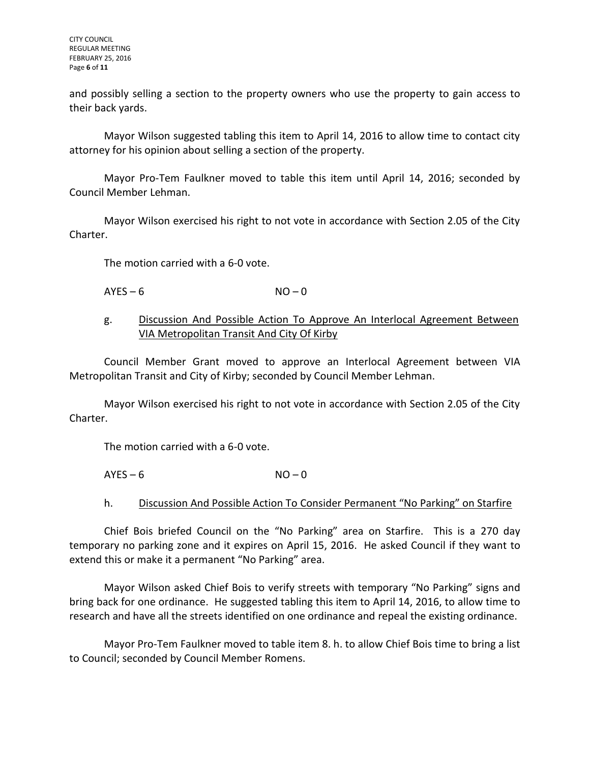CITY COUNCIL REGULAR MEETING FEBRUARY 25, 2016 Page **6** of **11**

and possibly selling a section to the property owners who use the property to gain access to their back yards.

Mayor Wilson suggested tabling this item to April 14, 2016 to allow time to contact city attorney for his opinion about selling a section of the property.

Mayor Pro-Tem Faulkner moved to table this item until April 14, 2016; seconded by Council Member Lehman.

Mayor Wilson exercised his right to not vote in accordance with Section 2.05 of the City Charter.

The motion carried with a 6-0 vote.

 $AYES - 6$   $NO - 0$ 

## g. Discussion And Possible Action To Approve An Interlocal Agreement Between VIA Metropolitan Transit And City Of Kirby

Council Member Grant moved to approve an Interlocal Agreement between VIA Metropolitan Transit and City of Kirby; seconded by Council Member Lehman.

Mayor Wilson exercised his right to not vote in accordance with Section 2.05 of the City Charter.

The motion carried with a 6-0 vote.

 $AYES - 6$   $NO - 0$ 

# h. Discussion And Possible Action To Consider Permanent "No Parking" on Starfire

Chief Bois briefed Council on the "No Parking" area on Starfire. This is a 270 day temporary no parking zone and it expires on April 15, 2016. He asked Council if they want to extend this or make it a permanent "No Parking" area.

Mayor Wilson asked Chief Bois to verify streets with temporary "No Parking" signs and bring back for one ordinance. He suggested tabling this item to April 14, 2016, to allow time to research and have all the streets identified on one ordinance and repeal the existing ordinance.

Mayor Pro-Tem Faulkner moved to table item 8. h. to allow Chief Bois time to bring a list to Council; seconded by Council Member Romens.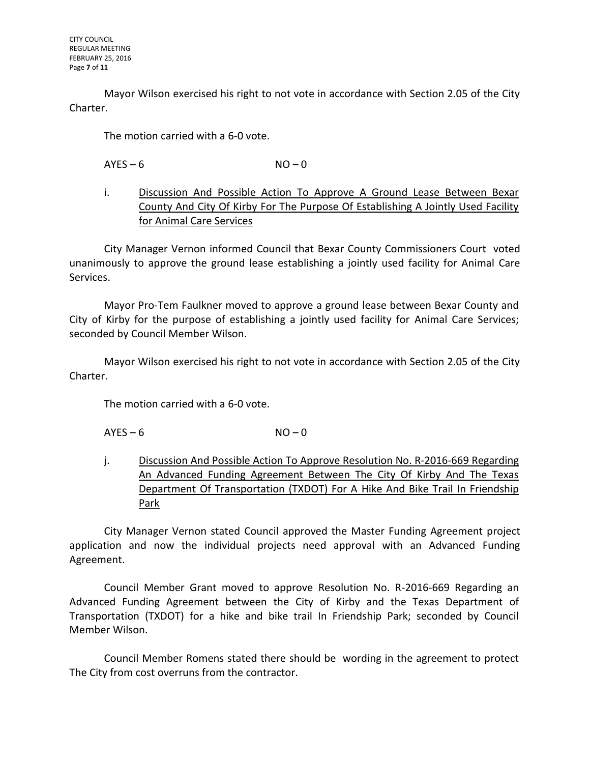Mayor Wilson exercised his right to not vote in accordance with Section 2.05 of the City Charter.

The motion carried with a 6-0 vote.

 $AYES - 6$   $NO - 0$ 

i. Discussion And Possible Action To Approve A Ground Lease Between Bexar County And City Of Kirby For The Purpose Of Establishing A Jointly Used Facility for Animal Care Services

City Manager Vernon informed Council that Bexar County Commissioners Court voted unanimously to approve the ground lease establishing a jointly used facility for Animal Care Services.

Mayor Pro-Tem Faulkner moved to approve a ground lease between Bexar County and City of Kirby for the purpose of establishing a jointly used facility for Animal Care Services; seconded by Council Member Wilson.

Mayor Wilson exercised his right to not vote in accordance with Section 2.05 of the City Charter.

The motion carried with a 6-0 vote.

 $AYES - 6$   $NO - 0$ 

j. Discussion And Possible Action To Approve Resolution No. R-2016-669 Regarding An Advanced Funding Agreement Between The City Of Kirby And The Texas Department Of Transportation (TXDOT) For A Hike And Bike Trail In Friendship Park

City Manager Vernon stated Council approved the Master Funding Agreement project application and now the individual projects need approval with an Advanced Funding Agreement.

Council Member Grant moved to approve Resolution No. R-2016-669 Regarding an Advanced Funding Agreement between the City of Kirby and the Texas Department of Transportation (TXDOT) for a hike and bike trail In Friendship Park; seconded by Council Member Wilson.

Council Member Romens stated there should be wording in the agreement to protect The City from cost overruns from the contractor.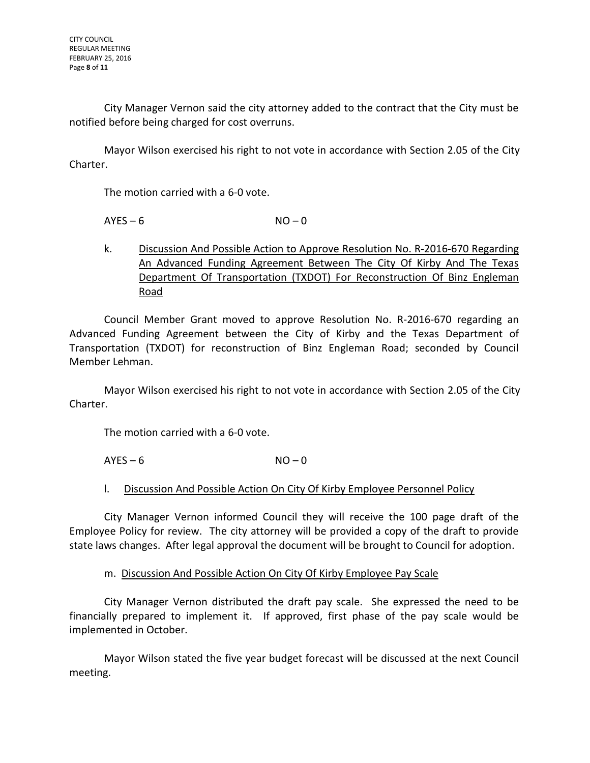City Manager Vernon said the city attorney added to the contract that the City must be notified before being charged for cost overruns.

Mayor Wilson exercised his right to not vote in accordance with Section 2.05 of the City Charter.

The motion carried with a 6-0 vote.

 $AYES - 6$   $NO - 0$ 

k. Discussion And Possible Action to Approve Resolution No. R-2016-670 Regarding An Advanced Funding Agreement Between The City Of Kirby And The Texas Department Of Transportation (TXDOT) For Reconstruction Of Binz Engleman Road

Council Member Grant moved to approve Resolution No. R-2016-670 regarding an Advanced Funding Agreement between the City of Kirby and the Texas Department of Transportation (TXDOT) for reconstruction of Binz Engleman Road; seconded by Council Member Lehman.

Mayor Wilson exercised his right to not vote in accordance with Section 2.05 of the City Charter.

The motion carried with a 6-0 vote.

 $AYES - 6$   $NO - 0$ 

## l. Discussion And Possible Action On City Of Kirby Employee Personnel Policy

City Manager Vernon informed Council they will receive the 100 page draft of the Employee Policy for review. The city attorney will be provided a copy of the draft to provide state laws changes. After legal approval the document will be brought to Council for adoption.

## m. Discussion And Possible Action On City Of Kirby Employee Pay Scale

City Manager Vernon distributed the draft pay scale. She expressed the need to be financially prepared to implement it. If approved, first phase of the pay scale would be implemented in October.

Mayor Wilson stated the five year budget forecast will be discussed at the next Council meeting.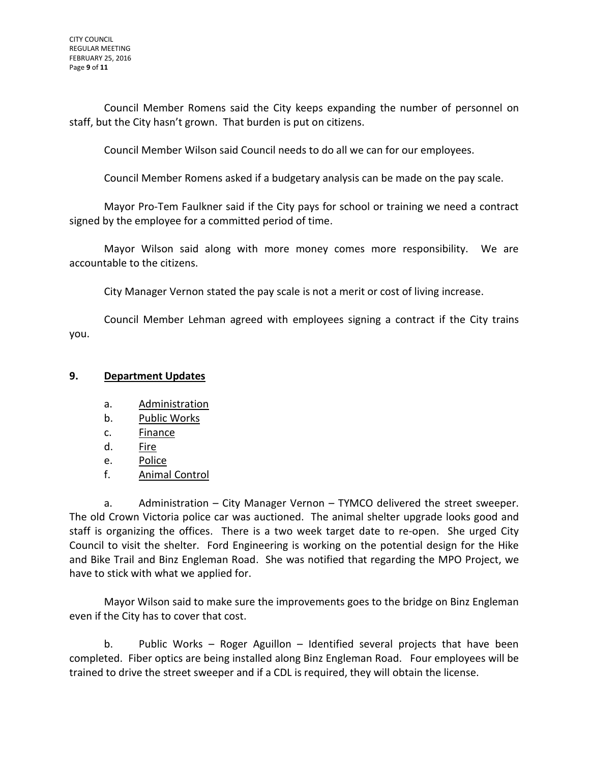Council Member Romens said the City keeps expanding the number of personnel on staff, but the City hasn't grown. That burden is put on citizens.

Council Member Wilson said Council needs to do all we can for our employees.

Council Member Romens asked if a budgetary analysis can be made on the pay scale.

Mayor Pro-Tem Faulkner said if the City pays for school or training we need a contract signed by the employee for a committed period of time.

Mayor Wilson said along with more money comes more responsibility. We are accountable to the citizens.

City Manager Vernon stated the pay scale is not a merit or cost of living increase.

Council Member Lehman agreed with employees signing a contract if the City trains you.

## **9. Department Updates**

- a. Administration
- b. Public Works
- c. Finance
- d. Fire
- e. Police
- f. Animal Control

a. Administration – City Manager Vernon – TYMCO delivered the street sweeper. The old Crown Victoria police car was auctioned. The animal shelter upgrade looks good and staff is organizing the offices. There is a two week target date to re-open. She urged City Council to visit the shelter. Ford Engineering is working on the potential design for the Hike and Bike Trail and Binz Engleman Road. She was notified that regarding the MPO Project, we have to stick with what we applied for.

Mayor Wilson said to make sure the improvements goes to the bridge on Binz Engleman even if the City has to cover that cost.

b. Public Works – Roger Aguillon – Identified several projects that have been completed. Fiber optics are being installed along Binz Engleman Road. Four employees will be trained to drive the street sweeper and if a CDL is required, they will obtain the license.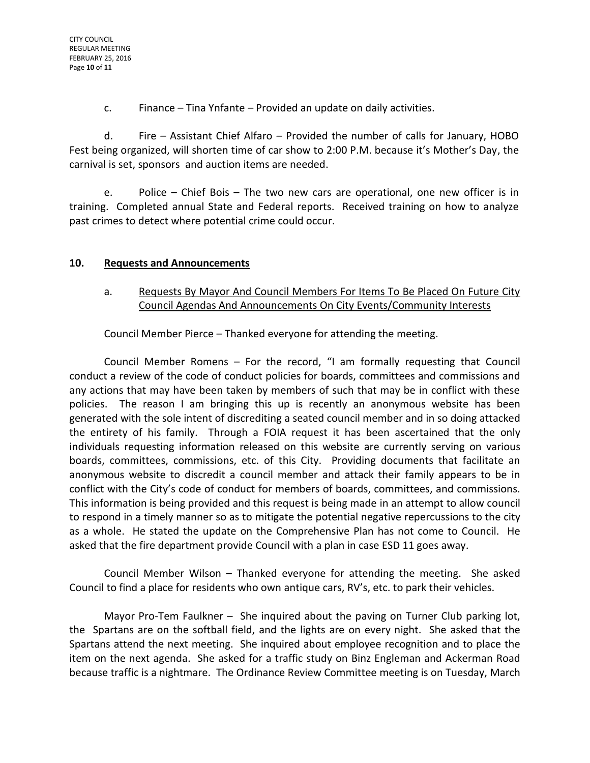c. Finance – Tina Ynfante – Provided an update on daily activities.

d. Fire – Assistant Chief Alfaro – Provided the number of calls for January, HOBO Fest being organized, will shorten time of car show to 2:00 P.M. because it's Mother's Day, the carnival is set, sponsors and auction items are needed.

e. Police – Chief Bois – The two new cars are operational, one new officer is in training. Completed annual State and Federal reports. Received training on how to analyze past crimes to detect where potential crime could occur.

# **10. Requests and Announcements**

# a. Requests By Mayor And Council Members For Items To Be Placed On Future City Council Agendas And Announcements On City Events/Community Interests

Council Member Pierce – Thanked everyone for attending the meeting.

Council Member Romens – For the record, "I am formally requesting that Council conduct a review of the code of conduct policies for boards, committees and commissions and any actions that may have been taken by members of such that may be in conflict with these policies. The reason I am bringing this up is recently an anonymous website has been generated with the sole intent of discrediting a seated council member and in so doing attacked the entirety of his family. Through a FOIA request it has been ascertained that the only individuals requesting information released on this website are currently serving on various boards, committees, commissions, etc. of this City. Providing documents that facilitate an anonymous website to discredit a council member and attack their family appears to be in conflict with the City's code of conduct for members of boards, committees, and commissions. This information is being provided and this request is being made in an attempt to allow council to respond in a timely manner so as to mitigate the potential negative repercussions to the city as a whole. He stated the update on the Comprehensive Plan has not come to Council. He asked that the fire department provide Council with a plan in case ESD 11 goes away.

Council Member Wilson – Thanked everyone for attending the meeting. She asked Council to find a place for residents who own antique cars, RV's, etc. to park their vehicles.

Mayor Pro-Tem Faulkner – She inquired about the paving on Turner Club parking lot, the Spartans are on the softball field, and the lights are on every night. She asked that the Spartans attend the next meeting. She inquired about employee recognition and to place the item on the next agenda. She asked for a traffic study on Binz Engleman and Ackerman Road because traffic is a nightmare. The Ordinance Review Committee meeting is on Tuesday, March